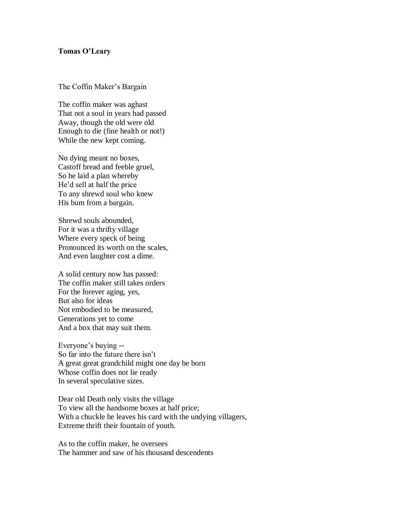## **Tomas O'Leary**

The Coffin Maker's Bargain

The coffin maker was aghast That not a soul in years had passed Away, though the old were old Enough to die (fine health or not!) While the new kept coming.

No dying meant no boxes, Castoff bread and feeble gruel, So he laid a plan whereby He'd sell at half the price To any shrewd soul who knew His bum from a bargain.

Shrewd souls abounded, For it was a thrifty village Where every speck of being Pronounced its worth on the scales, And even laughter cost a dime.

A solid century now has passed: The coffin maker still takes orders For the forever aging, yes, But also for ideas Not embodied to be measured, Generations yet to come And a box that may suit them.

Everyone's buying -- So far into the future there isn't A great great grandchild might one day be born Whose coffin does not lie ready In several speculative sizes.

Dear old Death only visits the village To view all the handsome boxes at half price; With a chuckle he leaves his card with the undying villagers, Extreme thrift their fountain of youth.

As to the coffin maker, he oversees The hammer and saw of his thousand descendents